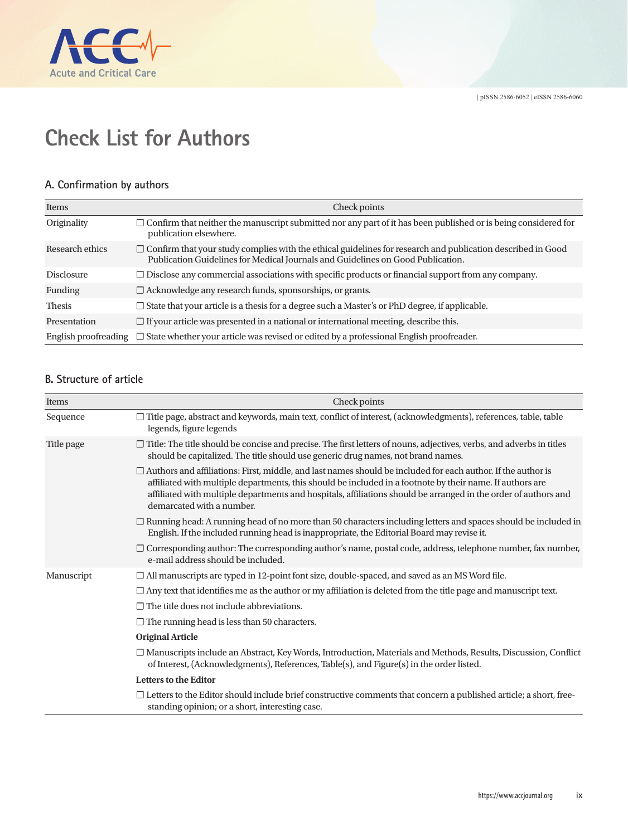

## **Check List for Authors**

## **A. Confirmation by authors**

| <b>Items</b>         | Check points                                                                                                                                                                                          |
|----------------------|-------------------------------------------------------------------------------------------------------------------------------------------------------------------------------------------------------|
| Originality          | $\Box$ Confirm that neither the manuscript submitted nor any part of it has been published or is being considered for<br>publication elsewhere.                                                       |
| Research ethics      | $\Box$ Confirm that your study complies with the ethical guidelines for research and publication described in Good<br>Publication Guidelines for Medical Journals and Guidelines on Good Publication. |
| <b>Disclosure</b>    | $\Box$ Disclose any commercial associations with specific products or financial support from any company.                                                                                             |
| <b>Funding</b>       | $\Box$ Acknowledge any research funds, sponsorships, or grants.                                                                                                                                       |
| <b>Thesis</b>        | $\Box$ State that your article is a thesis for a degree such a Master's or PhD degree, if applicable.                                                                                                 |
| Presentation         | $\Box$ If your article was presented in a national or international meeting, describe this.                                                                                                           |
| English proofreading | $\Box$ State whether your article was revised or edited by a professional English proofreader.                                                                                                        |

## **B. Structure of article**

| Items      | Check points                                                                                                                                                                                                                                                                                                                                                                     |
|------------|----------------------------------------------------------------------------------------------------------------------------------------------------------------------------------------------------------------------------------------------------------------------------------------------------------------------------------------------------------------------------------|
| Sequence   | □ Title page, abstract and keywords, main text, conflict of interest, (acknowledgments), references, table, table<br>legends, figure legends                                                                                                                                                                                                                                     |
| Title page | $\Box$ Title: The title should be concise and precise. The first letters of nouns, adjectives, verbs, and adverbs in titles<br>should be capitalized. The title should use generic drug names, not brand names.                                                                                                                                                                  |
|            | $\Box$ Authors and affiliations: First, middle, and last names should be included for each author. If the author is<br>affiliated with multiple departments, this should be included in a footnote by their name. If authors are<br>affiliated with multiple departments and hospitals, affiliations should be arranged in the order of authors and<br>demarcated with a number. |
|            | $\Box$ Running head: A running head of no more than 50 characters including letters and spaces should be included in<br>English. If the included running head is inappropriate, the Editorial Board may revise it.                                                                                                                                                               |
|            | □ Corresponding author: The corresponding author's name, postal code, address, telephone number, fax number,<br>e-mail address should be included.                                                                                                                                                                                                                               |
| Manuscript | $\Box$ All manuscripts are typed in 12-point font size, double-spaced, and saved as an MS Word file.                                                                                                                                                                                                                                                                             |
|            | $\Box$ Any text that identifies me as the author or my affiliation is deleted from the title page and manuscript text.                                                                                                                                                                                                                                                           |
|            | $\Box$ The title does not include abbreviations.                                                                                                                                                                                                                                                                                                                                 |
|            | $\Box$ The running head is less than 50 characters.                                                                                                                                                                                                                                                                                                                              |
|            | <b>Original Article</b>                                                                                                                                                                                                                                                                                                                                                          |
|            | □ Manuscripts include an Abstract, Key Words, Introduction, Materials and Methods, Results, Discussion, Conflict<br>of Interest, (Acknowledgments), References, Table(s), and Figure(s) in the order listed.                                                                                                                                                                     |
|            | <b>Letters to the Editor</b>                                                                                                                                                                                                                                                                                                                                                     |
|            | $\Box$ Letters to the Editor should include brief constructive comments that concern a published article; a short, free-<br>standing opinion; or a short, interesting case.                                                                                                                                                                                                      |